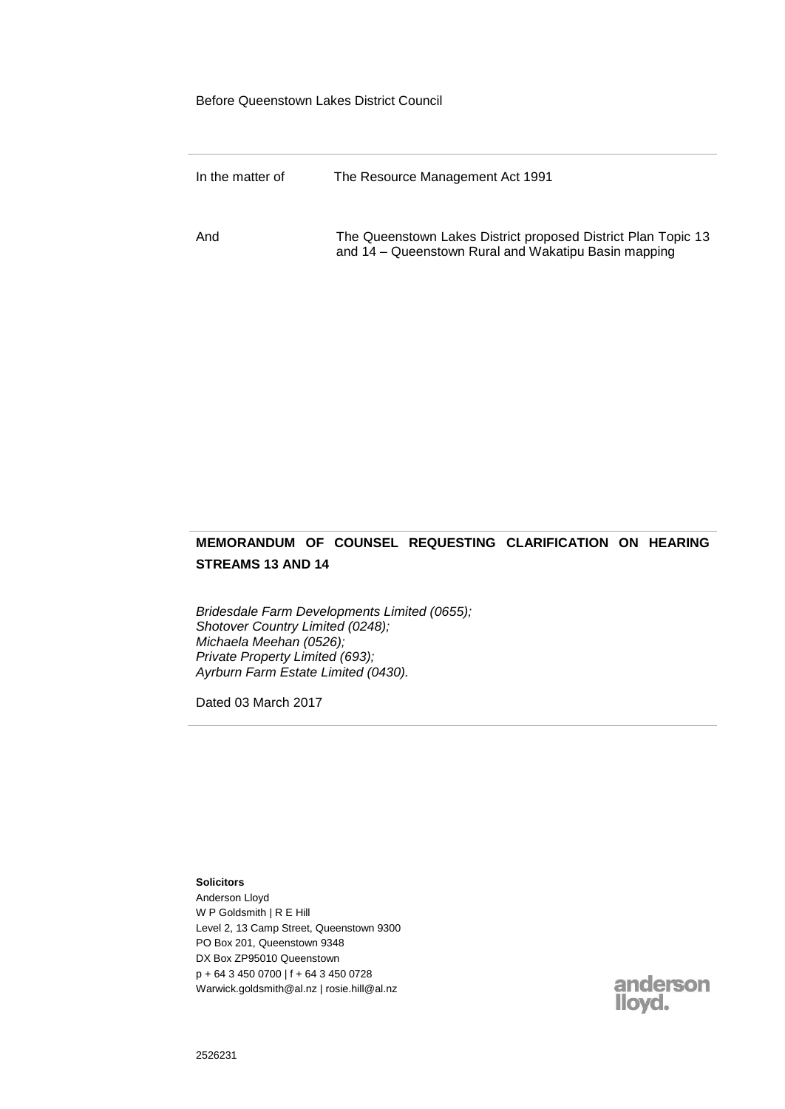Before Queenstown Lakes District Council

| In the matter of | The Resource Management Act 1991                                                                                      |
|------------------|-----------------------------------------------------------------------------------------------------------------------|
| And              | The Queenstown Lakes District proposed District Plan Topic 13<br>and 14 – Queenstown Rural and Wakatipu Basin mapping |

# **MEMORANDUM OF COUNSEL REQUESTING CLARIFICATION ON HEARING STREAMS 13 AND 14**

*Bridesdale Farm Developments Limited (0655); Shotover Country Limited (0248); Michaela Meehan (0526); Private Property Limited (693); Ayrburn Farm Estate Limited (0430).*

Dated 03 March 2017

**Solicitors** Anderson Lloyd W P Goldsmith | R E Hill Level 2, 13 Camp Street, Queenstown 9300 PO Box 201, Queenstown 9348 DX Box ZP95010 Queenstown p + 64 3 450 0700 | f + 64 3 450 0728 Warwick.goldsmith@al.nz | rosie.hill@al.nz

anderson<br>Iloyd.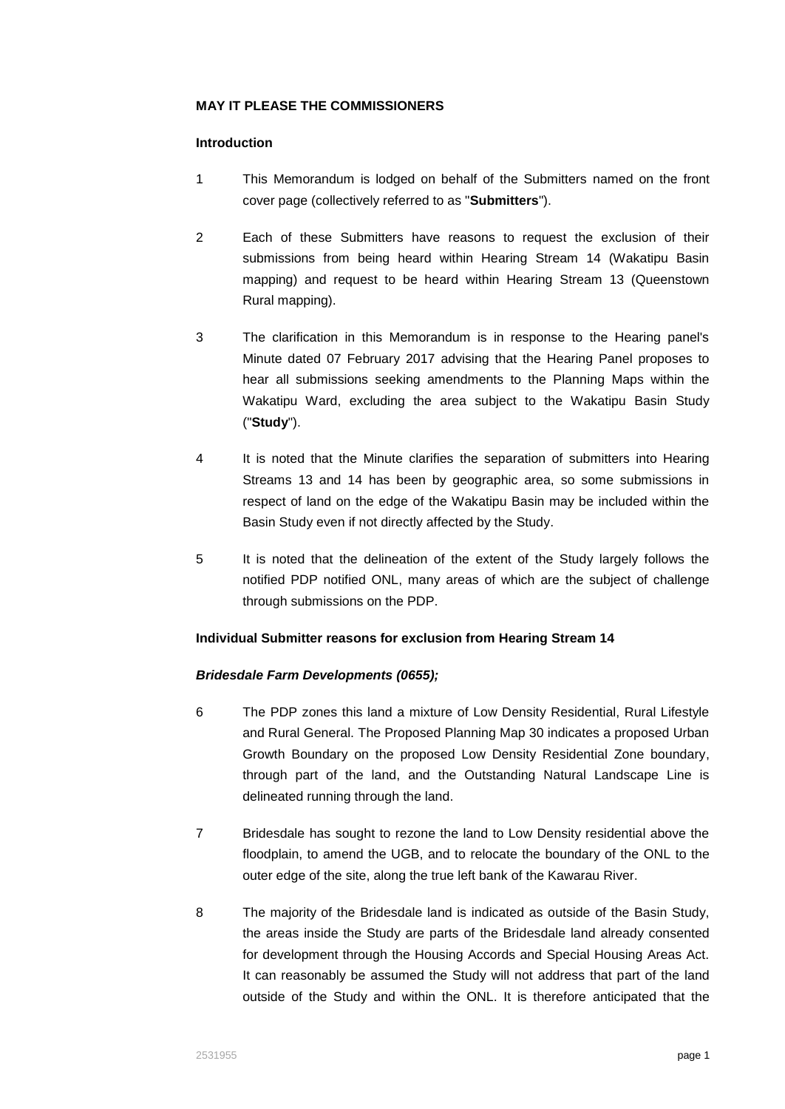### **MAY IT PLEASE THE COMMISSIONERS**

#### **Introduction**

- 1 This Memorandum is lodged on behalf of the Submitters named on the front cover page (collectively referred to as "**Submitters**").
- 2 Each of these Submitters have reasons to request the exclusion of their submissions from being heard within Hearing Stream 14 (Wakatipu Basin mapping) and request to be heard within Hearing Stream 13 (Queenstown Rural mapping).
- 3 The clarification in this Memorandum is in response to the Hearing panel's Minute dated 07 February 2017 advising that the Hearing Panel proposes to hear all submissions seeking amendments to the Planning Maps within the Wakatipu Ward, excluding the area subject to the Wakatipu Basin Study ("**Study**").
- 4 It is noted that the Minute clarifies the separation of submitters into Hearing Streams 13 and 14 has been by geographic area, so some submissions in respect of land on the edge of the Wakatipu Basin may be included within the Basin Study even if not directly affected by the Study.
- 5 It is noted that the delineation of the extent of the Study largely follows the notified PDP notified ONL, many areas of which are the subject of challenge through submissions on the PDP.

### **Individual Submitter reasons for exclusion from Hearing Stream 14**

### *Bridesdale Farm Developments (0655);*

- 6 The PDP zones this land a mixture of Low Density Residential, Rural Lifestyle and Rural General. The Proposed Planning Map 30 indicates a proposed Urban Growth Boundary on the proposed Low Density Residential Zone boundary, through part of the land, and the Outstanding Natural Landscape Line is delineated running through the land.
- 7 Bridesdale has sought to rezone the land to Low Density residential above the floodplain, to amend the UGB, and to relocate the boundary of the ONL to the outer edge of the site, along the true left bank of the Kawarau River.
- 8 The majority of the Bridesdale land is indicated as outside of the Basin Study, the areas inside the Study are parts of the Bridesdale land already consented for development through the Housing Accords and Special Housing Areas Act. It can reasonably be assumed the Study will not address that part of the land outside of the Study and within the ONL. It is therefore anticipated that the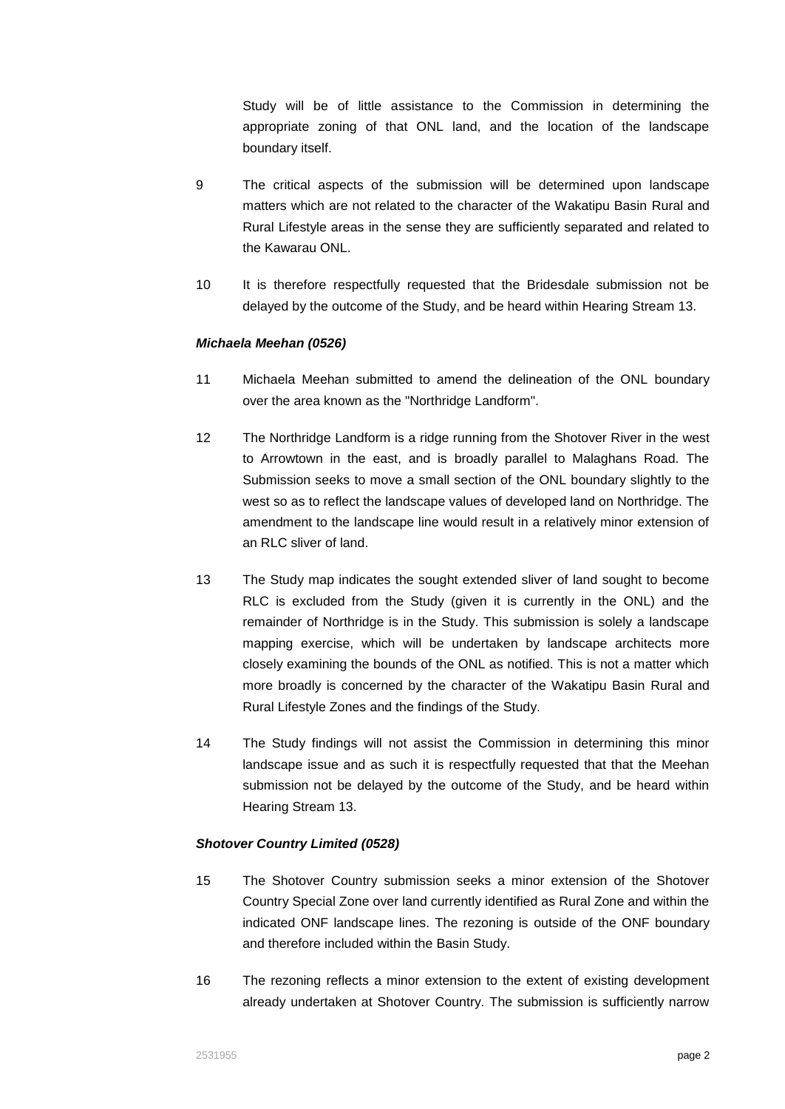Study will be of little assistance to the Commission in determining the appropriate zoning of that ONL land, and the location of the landscape boundary itself.

- 9 The critical aspects of the submission will be determined upon landscape matters which are not related to the character of the Wakatipu Basin Rural and Rural Lifestyle areas in the sense they are sufficiently separated and related to the Kawarau ONL.
- 10 It is therefore respectfully requested that the Bridesdale submission not be delayed by the outcome of the Study, and be heard within Hearing Stream 13.

### *Michaela Meehan (0526)*

- 11 Michaela Meehan submitted to amend the delineation of the ONL boundary over the area known as the "Northridge Landform".
- 12 The Northridge Landform is a ridge running from the Shotover River in the west to Arrowtown in the east, and is broadly parallel to Malaghans Road. The Submission seeks to move a small section of the ONL boundary slightly to the west so as to reflect the landscape values of developed land on Northridge. The amendment to the landscape line would result in a relatively minor extension of an RLC sliver of land.
- 13 The Study map indicates the sought extended sliver of land sought to become RLC is excluded from the Study (given it is currently in the ONL) and the remainder of Northridge is in the Study. This submission is solely a landscape mapping exercise, which will be undertaken by landscape architects more closely examining the bounds of the ONL as notified. This is not a matter which more broadly is concerned by the character of the Wakatipu Basin Rural and Rural Lifestyle Zones and the findings of the Study.
- 14 The Study findings will not assist the Commission in determining this minor landscape issue and as such it is respectfully requested that that the Meehan submission not be delayed by the outcome of the Study, and be heard within Hearing Stream 13.

#### *Shotover Country Limited (0528)*

- 15 The Shotover Country submission seeks a minor extension of the Shotover Country Special Zone over land currently identified as Rural Zone and within the indicated ONF landscape lines. The rezoning is outside of the ONF boundary and therefore included within the Basin Study.
- 16 The rezoning reflects a minor extension to the extent of existing development already undertaken at Shotover Country. The submission is sufficiently narrow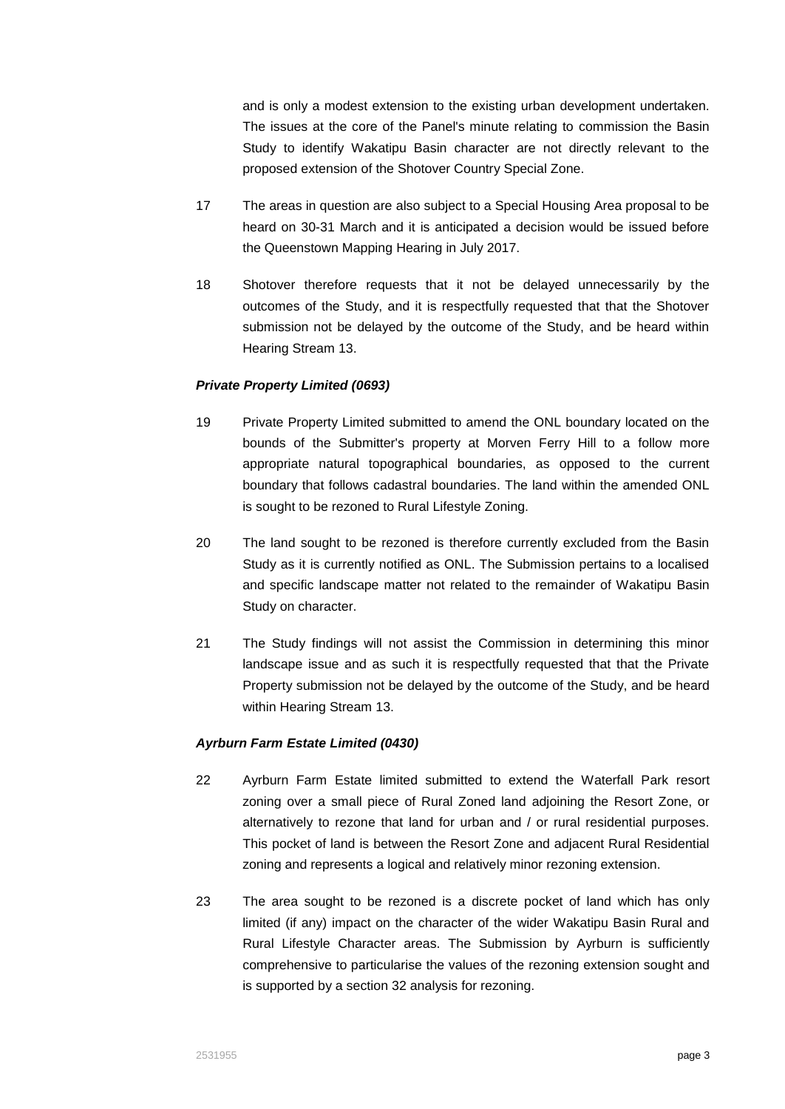and is only a modest extension to the existing urban development undertaken. The issues at the core of the Panel's minute relating to commission the Basin Study to identify Wakatipu Basin character are not directly relevant to the proposed extension of the Shotover Country Special Zone.

- 17 The areas in question are also subject to a Special Housing Area proposal to be heard on 30-31 March and it is anticipated a decision would be issued before the Queenstown Mapping Hearing in July 2017.
- 18 Shotover therefore requests that it not be delayed unnecessarily by the outcomes of the Study, and it is respectfully requested that that the Shotover submission not be delayed by the outcome of the Study, and be heard within Hearing Stream 13.

## *Private Property Limited (0693)*

- 19 Private Property Limited submitted to amend the ONL boundary located on the bounds of the Submitter's property at Morven Ferry Hill to a follow more appropriate natural topographical boundaries, as opposed to the current boundary that follows cadastral boundaries. The land within the amended ONL is sought to be rezoned to Rural Lifestyle Zoning.
- 20 The land sought to be rezoned is therefore currently excluded from the Basin Study as it is currently notified as ONL. The Submission pertains to a localised and specific landscape matter not related to the remainder of Wakatipu Basin Study on character.
- 21 The Study findings will not assist the Commission in determining this minor landscape issue and as such it is respectfully requested that that the Private Property submission not be delayed by the outcome of the Study, and be heard within Hearing Stream 13.

### *Ayrburn Farm Estate Limited (0430)*

- 22 Ayrburn Farm Estate limited submitted to extend the Waterfall Park resort zoning over a small piece of Rural Zoned land adjoining the Resort Zone, or alternatively to rezone that land for urban and / or rural residential purposes. This pocket of land is between the Resort Zone and adjacent Rural Residential zoning and represents a logical and relatively minor rezoning extension.
- 23 The area sought to be rezoned is a discrete pocket of land which has only limited (if any) impact on the character of the wider Wakatipu Basin Rural and Rural Lifestyle Character areas. The Submission by Ayrburn is sufficiently comprehensive to particularise the values of the rezoning extension sought and is supported by a section 32 analysis for rezoning.